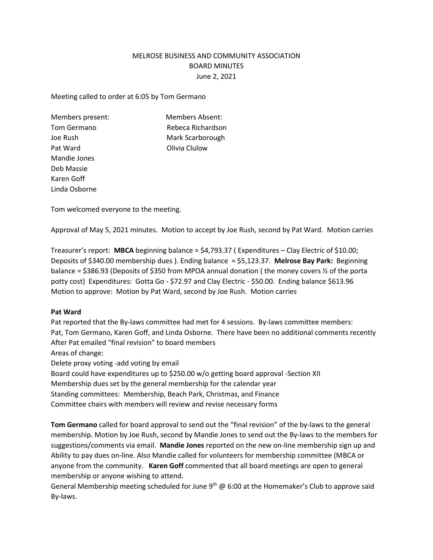# MELROSE BUSINESS AND COMMUNITY ASSOCIATION BOARD MINUTES June 2, 2021

Meeting called to order at 6:05 by Tom Germano

Pat Ward **Division Club** Pat Ward **Club** Mandie Jones Deb Massie Karen Goff Linda Osborne

Members present: Members Absent: Tom Germano Rebeca Richardson Joe Rush Mark Scarborough

Tom welcomed everyone to the meeting.

Approval of May 5, 2021 minutes. Motion to accept by Joe Rush, second by Pat Ward. Motion carries

Treasurer's report: **MBCA** beginning balance = \$4,793.37 ( Expenditures – Clay Electric of \$10.00; Deposits of \$340.00 membership dues ). Ending balance = \$5,123.37. **Melrose Bay Park:** Beginning balance = \$386.93 (Deposits of \$350 from MPOA annual donation (the money covers  $\frac{1}{2}$  of the porta potty cost) Expenditures: Gotta Go - \$72.97 and Clay Electric - \$50.00. Ending balance \$613.96 Motion to approve: Motion by Pat Ward, second by Joe Rush. Motion carries

#### **Pat Ward**

Pat reported that the By-laws committee had met for 4 sessions. By-laws committee members: Pat, Tom Germano, Karen Goff, and Linda Osborne. There have been no additional comments recently After Pat emailed "final revision" to board members Areas of change:

Delete proxy voting -add voting by email

Board could have expenditures up to \$250.00 w/o getting board approval -Section XII Membership dues set by the general membership for the calendar year Standing committees: Membership, Beach Park, Christmas, and Finance Committee chairs with members will review and revise necessary forms

**Tom Germano** called for board approval to send out the "final revision" of the by-laws to the general membership. Motion by Joe Rush, second by Mandie Jones to send out the By-laws to the members for suggestions/comments via email. **Mandie Jones** reported on the new on-line membership sign up and Ability to pay dues on-line. Also Mandie called for volunteers for membership committee (MBCA or anyone from the community. **Karen Goff** commented that all board meetings are open to general membership or anyone wishing to attend.

General Membership meeting scheduled for June  $9<sup>th</sup>$  @ 6:00 at the Homemaker's Club to approve said By-laws.